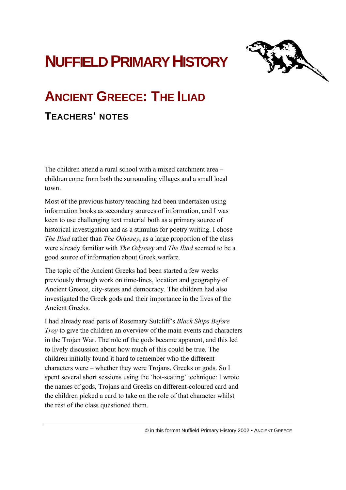# **NUFFIELD PRIMARY HISTORY**



## **ANCIENT GREECE: THE ILIAD**

### **TEACHERS' NOTES**

The children attend a rural school with a mixed catchment area – children come from both the surrounding villages and a small local town.

Most of the previous history teaching had been undertaken using information books as secondary sources of information, and I was keen to use challenging text material both as a primary source of historical investigation and as a stimulus for poetry writing. I chose *The Iliad* rather than *The Odyssey*, as a large proportion of the class were already familiar with *The Odyssey* and *The Iliad* seemed to be a good source of information about Greek warfare.

The topic of the Ancient Greeks had been started a few weeks previously through work on time-lines, location and geography of Ancient Greece, city-states and democracy. The children had also investigated the Greek gods and their importance in the lives of the Ancient Greeks.

I had already read parts of Rosemary Sutcliff's *Black Ships Before Troy* to give the children an overview of the main events and characters in the Trojan War. The role of the gods became apparent, and this led to lively discussion about how much of this could be true. The children initially found it hard to remember who the different characters were – whether they were Trojans, Greeks or gods. So I spent several short sessions using the 'hot-seating' technique: I wrote the names of gods, Trojans and Greeks on different-coloured card and the children picked a card to take on the role of that character whilst the rest of the class questioned them.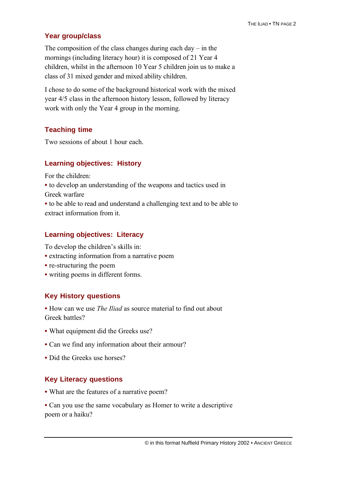#### **Year group/class**

The composition of the class changes during each day  $-$  in the mornings (including literacy hour) it is composed of 21 Year 4 children, whilst in the afternoon 10 Year 5 children join us to make a class of 31 mixed gender and mixed ability children.

I chose to do some of the background historical work with the mixed year 4/5 class in the afternoon history lesson, followed by literacy work with only the Year 4 group in the morning.

#### **Teaching time**

Two sessions of about 1 hour each.

#### **Learning objectives: History**

For the children:

**•** to develop an understanding of the weapons and tactics used in Greek warfare

**•** to be able to read and understand a challenging text and to be able to extract information from it.

#### **Learning objectives: Literacy**

To develop the children's skills in:

- extracting information from a narrative poem
- **re-structuring the poem**
- writing poems in different forms.

#### **Key History questions**

**•** How can we use *The Iliad* as source material to find out about Greek battles?

- What equipment did the Greeks use?
- Can we find any information about their armour?
- Did the Greeks use horses?

#### **Key Literacy questions**

- What are the features of a narrative poem?
- Can you use the same vocabulary as Homer to write a descriptive poem or a haiku?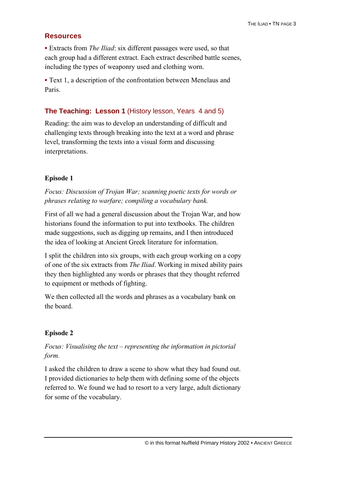#### **Resources**

**•** Extracts from *The Iliad*: six different passages were used, so that each group had a different extract. Each extract described battle scenes, including the types of weaponry used and clothing worn.

**•** Text 1, a description of the confrontation between Menelaus and Paris.

#### **The Teaching: Lesson 1** (History lesson, Years 4 and 5)

Reading: the aim was to develop an understanding of difficult and challenging texts through breaking into the text at a word and phrase level, transforming the texts into a visual form and discussing interpretations.

#### **Episode 1**

*Focus: Discussion of Trojan War; scanning poetic texts for words or phrases relating to warfare; compiling a vocabulary bank.*

First of all we had a general discussion about the Trojan War, and how historians found the information to put into textbooks. The children made suggestions, such as digging up remains, and I then introduced the idea of looking at Ancient Greek literature for information.

I split the children into six groups, with each group working on a copy of one of the six extracts from *The Iliad*. Working in mixed ability pairs they then highlighted any words or phrases that they thought referred to equipment or methods of fighting.

We then collected all the words and phrases as a vocabulary bank on the board.

#### **Episode 2**

#### *Focus: Visualising the text – representing the information in pictorial form.*

I asked the children to draw a scene to show what they had found out. I provided dictionaries to help them with defining some of the objects referred to. We found we had to resort to a very large, adult dictionary for some of the vocabulary.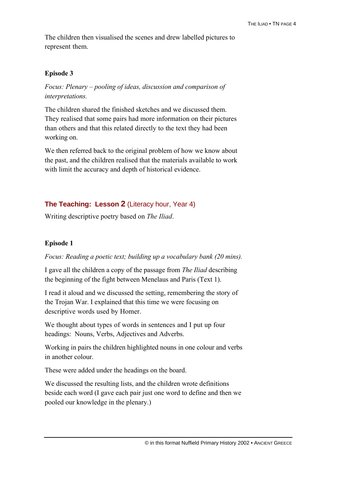The children then visualised the scenes and drew labelled pictures to represent them.

#### **Episode 3**

*Focus: Plenary – pooling of ideas, discussion and comparison of interpretations.*

The children shared the finished sketches and we discussed them. They realised that some pairs had more information on their pictures than others and that this related directly to the text they had been working on.

We then referred back to the original problem of how we know about the past, and the children realised that the materials available to work with limit the accuracy and depth of historical evidence.

#### **The Teaching: Lesson 2** (Literacy hour, Year 4)

Writing descriptive poetry based on *The Iliad*.

#### **Episode 1**

*Focus: Reading a poetic text; building up a vocabulary bank (20 mins).*

I gave all the children a copy of the passage from *The Iliad* describing the beginning of the fight between Menelaus and Paris (Text 1).

I read it aloud and we discussed the setting, remembering the story of the Trojan War. I explained that this time we were focusing on descriptive words used by Homer.

We thought about types of words in sentences and I put up four headings: Nouns, Verbs, Adjectives and Adverbs.

Working in pairs the children highlighted nouns in one colour and verbs in another colour.

These were added under the headings on the board.

We discussed the resulting lists, and the children wrote definitions beside each word (I gave each pair just one word to define and then we pooled our knowledge in the plenary.)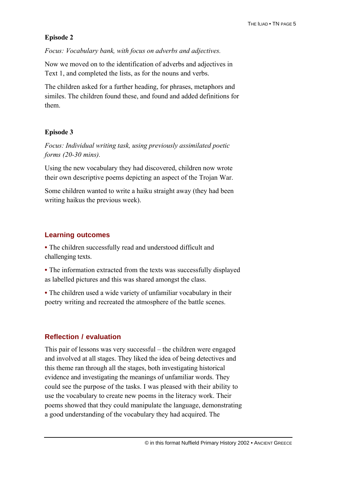#### **Episode 2**

*Focus: Vocabulary bank, with focus on adverbs and adjectives.*

Now we moved on to the identification of adverbs and adjectives in Text 1, and completed the lists, as for the nouns and verbs.

The children asked for a further heading, for phrases, metaphors and similes. The children found these, and found and added definitions for them.

#### **Episode 3**

*Focus: Individual writing task, using previously assimilated poetic forms (20-30 mins).*

Using the new vocabulary they had discovered, children now wrote their own descriptive poems depicting an aspect of the Trojan War.

Some children wanted to write a haiku straight away (they had been writing haikus the previous week).

#### **Learning outcomes**

**•** The children successfully read and understood difficult and challenging texts.

**•** The information extracted from the texts was successfully displayed as labelled pictures and this was shared amongst the class.

**•** The children used a wide variety of unfamiliar vocabulary in their poetry writing and recreated the atmosphere of the battle scenes.

#### **Reflection / evaluation**

This pair of lessons was very successful – the children were engaged and involved at all stages. They liked the idea of being detectives and this theme ran through all the stages, both investigating historical evidence and investigating the meanings of unfamiliar words. They could see the purpose of the tasks. I was pleased with their ability to use the vocabulary to create new poems in the literacy work. Their poems showed that they could manipulate the language, demonstrating a good understanding of the vocabulary they had acquired. The